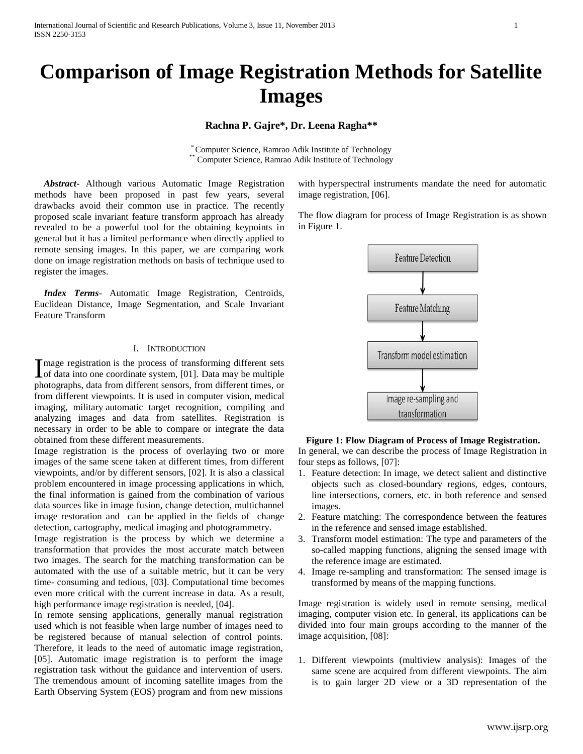# **Comparison of Image Registration Methods for Satellite Images**

## **Rachna P. Gajre\*, Dr. Leena Ragha\*\***

\* Computer Science, Ramrao Adik Institute of Technology Computer Science, Ramrao Adik Institute of Technology

 *Abstract***-** Although various Automatic Image Registration methods have been proposed in past few years, several drawbacks avoid their common use in practice. The recently proposed scale invariant feature transform approach has already revealed to be a powerful tool for the obtaining keypoints in general but it has a limited performance when directly applied to remote sensing images. In this paper, we are comparing work done on image registration methods on basis of technique used to register the images.

 *Index Terms*- Automatic Image Registration, Centroids, Euclidean Distance, Image Segmentation, and Scale Invariant Feature Transform

#### I. INTRODUCTION

mage registration is the process of transforming different sets Image registration is the process of transforming different sets<br>of data into one coordinate system, [01]. Data may be multiple photographs, data from different sensors, from different times, or from different viewpoints. It is used in [computer vision,](http://en.wikipedia.org/wiki/Computer_vision) [medical](http://en.wikipedia.org/wiki/Medical_imaging)  [imaging,](http://en.wikipedia.org/wiki/Medical_imaging) military [automatic target recognition,](http://en.wikipedia.org/wiki/Automatic_target_recognition) compiling and analyzing images and data from satellites. Registration is necessary in order to be able to compare or integrate the data obtained from these different measurements.

Image registration is the process of overlaying two or more images of the same scene taken at different times, from different viewpoints, and/or by different sensors, [02]. It is also a classical problem encountered in image processing applications in which, the final information is gained from the combination of various data sources like in image fusion, change detection, multichannel image restoration and can be applied in the fields of change detection, cartography, medical imaging and photogrammetry.

Image registration is the process by which we determine a transformation that provides the most accurate match between two images. The search for the matching transformation can be automated with the use of a suitable metric, but it can be very time- consuming and tedious, [03]. Computational time becomes even more critical with the current increase in data. As a result, high performance image registration is needed, [04].

In remote sensing applications, generally manual registration used which is not feasible when large number of images need to be registered because of manual selection of control points. Therefore, it leads to the need of automatic image registration, [05]. Automatic image registration is to perform the image registration task without the guidance and intervention of users. The tremendous amount of incoming satellite images from the Earth Observing System (EOS) program and from new missions

with hyperspectral instruments mandate the need for automatic image registration, [06].

The flow diagram for process of Image Registration is as shown in Figure 1.



**Figure 1: Flow Diagram of Process of Image Registration.** In general, we can describe the process of Image Registration in four steps as follows, [07]:

- 1. Feature detection: In image, we detect salient and distinctive objects such as closed-boundary regions, edges, contours, line intersections, corners, etc. in both reference and sensed images.
- 2. Feature matching: The correspondence between the features in the reference and sensed image established.
- 3. Transform model estimation: The type and parameters of the so-called mapping functions, aligning the sensed image with the reference image are estimated.
- 4. Image re-sampling and transformation: The sensed image is transformed by means of the mapping functions.

Image registration is widely used in remote sensing, medical imaging, computer vision etc. In general, its applications can be divided into four main groups according to the manner of the image acquisition, [08]:

1. Different viewpoints (multiview analysis): Images of the same scene are acquired from different viewpoints. The aim is to gain larger 2D view or a 3D representation of the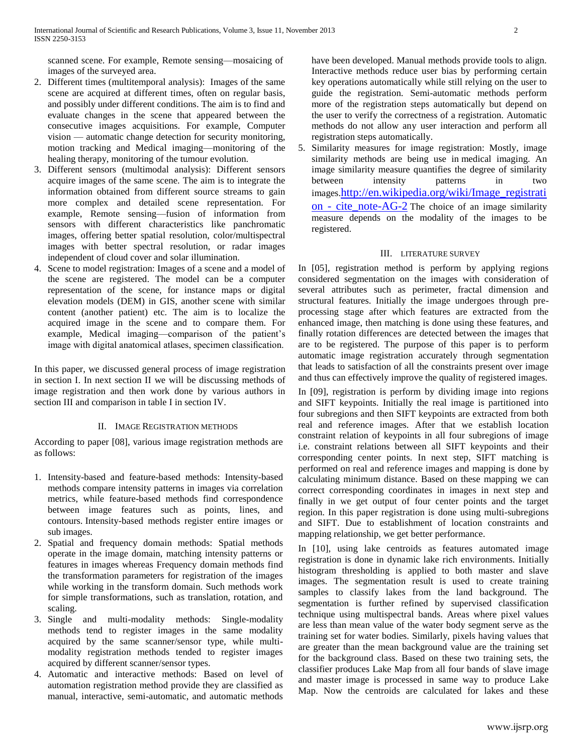scanned scene. For example, Remote sensing—mosaicing of images of the surveyed area.

- 2. Different times (multitemporal analysis): Images of the same scene are acquired at different times, often on regular basis, and possibly under different conditions. The aim is to find and evaluate changes in the scene that appeared between the consecutive images acquisitions. For example, Computer vision — automatic change detection for security monitoring, motion tracking and Medical imaging—monitoring of the healing therapy, monitoring of the tumour evolution.
- 3. Different sensors (multimodal analysis): Different sensors acquire images of the same scene. The aim is to integrate the information obtained from different source streams to gain more complex and detailed scene representation. For example, Remote sensing—fusion of information from sensors with different characteristics like panchromatic images, offering better spatial resolution, color/multispectral images with better spectral resolution, or radar images independent of cloud cover and solar illumination.
- 4. Scene to model registration: Images of a scene and a model of the scene are registered. The model can be a computer representation of the scene, for instance maps or digital elevation models (DEM) in GIS, another scene with similar content (another patient) etc. The aim is to localize the acquired image in the scene and to compare them. For example, Medical imaging—comparison of the patient's image with digital anatomical atlases, specimen classification.

In this paper, we discussed general process of image registration in section I. In next section II we will be discussing methods of image registration and then work done by various authors in section III and comparison in table I in section IV.

## II. IMAGE REGISTRATION METHODS

According to paper [08], various image registration methods are as follows:

- 1. Intensity-based and feature-based methods: Intensity-based methods compare intensity patterns in images via correlation metrics, while feature-based methods find correspondence between image features such as points, lines, and contours. Intensity-based methods register entire images or sub images.
- 2. Spatial and frequency domain methods: Spatial methods operate in the image domain, matching intensity patterns or features in images whereas Frequency domain methods find the transformation parameters for registration of the images while working in the transform domain. Such methods work for simple transformations, such as translation, rotation, and scaling.
- 3. Single and multi-modality methods: Single-modality methods tend to register images in the same modality acquired by the same scanner/sensor type, while multimodality registration methods tended to register images acquired by different scanner/sensor types.
- 4. Automatic and interactive methods: Based on level of automation registration method provide they are classified as manual, interactive, semi-automatic, and automatic methods

have been developed. Manual methods provide tools to align. Interactive methods reduce user bias by performing certain key operations automatically while still relying on the user to guide the registration. Semi-automatic methods perform more of the registration steps automatically but depend on the user to verify the correctness of a registration. Automatic methods do not allow any user interaction and perform all registration steps automatically.

5. Similarity measures for image registration: Mostly, image similarity methods are being use in [medical imaging.](http://en.wikipedia.org/wiki/Medical_imaging) An image similarity measure quantifies the degree of similarity between intensity patterns in two images.[http://en.wikipedia.org/wiki/Image\\_registrati](http://en.wikipedia.org/wiki/Image_registration#cite_note-AG-2) on - [cite\\_note-AG-2](http://en.wikipedia.org/wiki/Image_registration#cite_note-AG-2) The choice of an image similarity measure depends on the modality of the images to be registered.

## III. LITERATURE SURVEY

In [05], registration method is perform by applying regions considered segmentation on the images with consideration of several attributes such as perimeter, fractal dimension and structural features. Initially the image undergoes through preprocessing stage after which features are extracted from the enhanced image, then matching is done using these features, and finally rotation differences are detected between the images that are to be registered. The purpose of this paper is to perform automatic image registration accurately through segmentation that leads to satisfaction of all the constraints present over image and thus can effectively improve the quality of registered images.

In [09], registration is perform by dividing image into regions and SIFT keypoints. Initially the real image is partitioned into four subregions and then SIFT keypoints are extracted from both real and reference images. After that we establish location constraint relation of keypoints in all four subregions of image i.e. constraint relations between all SIFT keypoints and their corresponding center points. In next step, SIFT matching is performed on real and reference images and mapping is done by calculating minimum distance. Based on these mapping we can correct corresponding coordinates in images in next step and finally in we get output of four center points and the target region. In this paper registration is done using multi-subregions and SIFT. Due to establishment of location constraints and mapping relationship, we get better performance.

In [10], using lake centroids as features automated image registration is done in dynamic lake rich environments. Initially histogram thresholding is applied to both master and slave images. The segmentation result is used to create training samples to classify lakes from the land background. The segmentation is further refined by supervised classification technique using multispectral bands. Areas where pixel values are less than mean value of the water body segment serve as the training set for water bodies. Similarly, pixels having values that are greater than the mean background value are the training set for the background class. Based on these two training sets, the classifier produces Lake Map from all four bands of slave image and master image is processed in same way to produce Lake Map. Now the centroids are calculated for lakes and these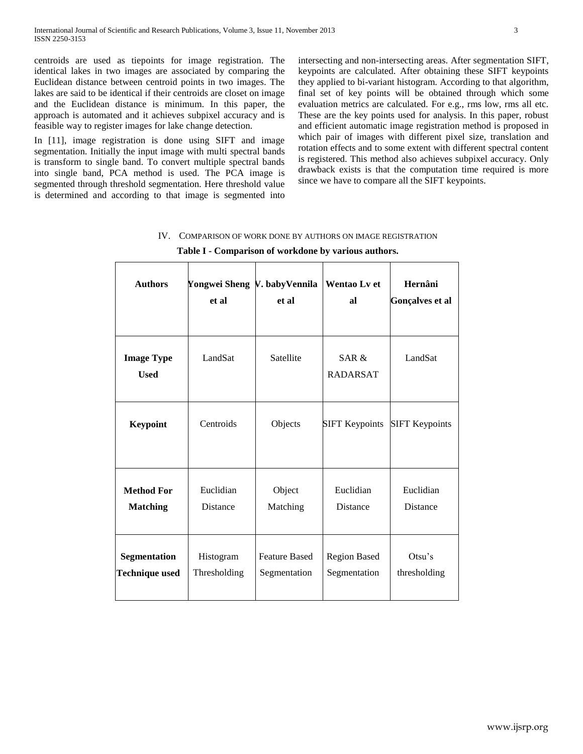centroids are used as tiepoints for image registration. The identical lakes in two images are associated by comparing the Euclidean distance between centroid points in two images. The lakes are said to be identical if their centroids are closet on image and the Euclidean distance is minimum. In this paper, the approach is automated and it achieves subpixel accuracy and is feasible way to register images for lake change detection.

In [11], image registration is done using SIFT and image segmentation. Initially the input image with multi spectral bands is transform to single band. To convert multiple spectral bands into single band, PCA method is used. The PCA image is segmented through threshold segmentation. Here threshold value is determined and according to that image is segmented into intersecting and non-intersecting areas. After segmentation SIFT, keypoints are calculated. After obtaining these SIFT keypoints they applied to bi-variant histogram. According to that algorithm, final set of key points will be obtained through which some evaluation metrics are calculated. For e.g., rms low, rms all etc. These are the key points used for analysis. In this paper, robust and efficient automatic image registration method is proposed in which pair of images with different pixel size, translation and rotation effects and to some extent with different spectral content is registered. This method also achieves subpixel accuracy. Only drawback exists is that the computation time required is more since we have to compare all the SIFT keypoints.

| <b>Authors</b>                        | Yongwei Sheng V. babyVennila<br>et al | et al                                | Wentao Lv et<br>al                  | Hernâni<br>Gonçalves et al   |
|---------------------------------------|---------------------------------------|--------------------------------------|-------------------------------------|------------------------------|
| <b>Image Type</b><br><b>Used</b>      | LandSat                               | Satellite                            | SAR &<br><b>RADARSAT</b>            | LandSat                      |
| <b>Keypoint</b>                       | Centroids                             | Objects                              | <b>SIFT Keypoints</b>               | <b>SIFT Keypoints</b>        |
| <b>Method For</b><br><b>Matching</b>  | Euclidian<br>Distance                 | Object<br>Matching                   | Euclidian<br><b>Distance</b>        | Euclidian<br><b>Distance</b> |
| Segmentation<br><b>Technique used</b> | Histogram<br>Thresholding             | <b>Feature Based</b><br>Segmentation | <b>Region Based</b><br>Segmentation | Otsu's<br>thresholding       |

|     | Table I - Comparison of workdone by various authors.     |
|-----|----------------------------------------------------------|
| IV. | COMPARISON OF WORK DONE BY AUTHORS ON IMAGE REGISTRATION |